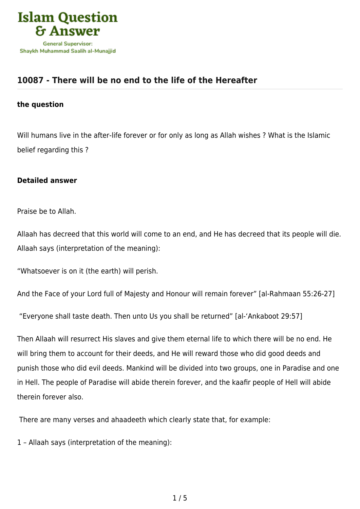

## **[10087 - There will be no end to the life of the Hereafter](https://islamqa.com/en/answers/10087/there-will-be-no-end-to-the-life-of-the-hereafter)**

## **the question**

Will humans live in the after-life forever or for only as long as Allah wishes ? What is the Islamic belief regarding this ?

## **Detailed answer**

Praise be to Allah.

Allaah has decreed that this world will come to an end, and He has decreed that its people will die. Allaah says (interpretation of the meaning):

"Whatsoever is on it (the earth) will perish.

And the Face of your Lord full of Majesty and Honour will remain forever" [al-Rahmaan 55:26-27]

"Everyone shall taste death. Then unto Us you shall be returned" [al-'Ankaboot 29:57]

Then Allaah will resurrect His slaves and give them eternal life to which there will be no end. He will bring them to account for their deeds, and He will reward those who did good deeds and punish those who did evil deeds. Mankind will be divided into two groups, one in Paradise and one in Hell. The people of Paradise will abide therein forever, and the kaafir people of Hell will abide therein forever also.

There are many verses and ahaadeeth which clearly state that, for example:

1 – Allaah says (interpretation of the meaning):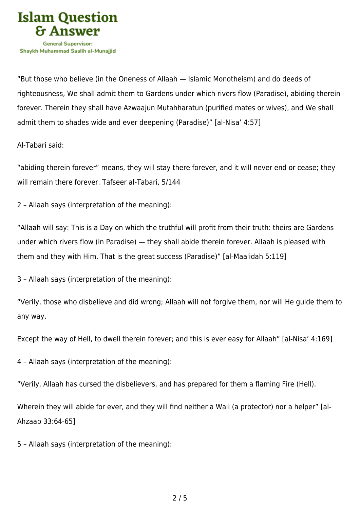

"But those who believe (in the Oneness of Allaah — Islamic Monotheism) and do deeds of righteousness, We shall admit them to Gardens under which rivers flow (Paradise), abiding therein forever. Therein they shall have Azwaajun Mutahharatun (purified mates or wives), and We shall admit them to shades wide and ever deepening (Paradise)" [al-Nisa' 4:57]

Al-Tabari said:

"abiding therein forever" means, they will stay there forever, and it will never end or cease; they will remain there forever. Tafseer al-Tabari, 5/144

2 – Allaah says (interpretation of the meaning):

"Allaah will say: This is a Day on which the truthful will profit from their truth: theirs are Gardens under which rivers flow (in Paradise) — they shall abide therein forever. Allaah is pleased with them and they with Him. That is the great success (Paradise)" [al-Maa'idah 5:119]

3 – Allaah says (interpretation of the meaning):

"Verily, those who disbelieve and did wrong; Allaah will not forgive them, nor will He guide them to any way.

Except the way of Hell, to dwell therein forever; and this is ever easy for Allaah" [al-Nisa' 4:169]

4 – Allaah says (interpretation of the meaning):

"Verily, Allaah has cursed the disbelievers, and has prepared for them a flaming Fire (Hell).

Wherein they will abide for ever, and they will find neither a Wali (a protector) nor a helper" [al-Ahzaab 33:64-65]

5 – Allaah says (interpretation of the meaning):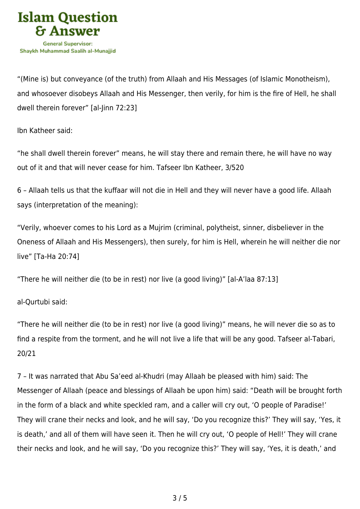

"(Mine is) but conveyance (of the truth) from Allaah and His Messages (of Islamic Monotheism), and whosoever disobeys Allaah and His Messenger, then verily, for him is the fire of Hell, he shall dwell therein forever" [al-Jinn 72:23]

Ibn Katheer said:

"he shall dwell therein forever" means, he will stay there and remain there, he will have no way out of it and that will never cease for him. Tafseer Ibn Katheer, 3/520

6 – Allaah tells us that the kuffaar will not die in Hell and they will never have a good life. Allaah says (interpretation of the meaning):

"Verily, whoever comes to his Lord as a Mujrim (criminal, polytheist, sinner, disbeliever in the Oneness of Allaah and His Messengers), then surely, for him is Hell, wherein he will neither die nor live" [Ta-Ha 20:74]

"There he will neither die (to be in rest) nor live (a good living)" [al-A'laa 87:13]

al-Qurtubi said:

"There he will neither die (to be in rest) nor live (a good living)" means, he will never die so as to find a respite from the torment, and he will not live a life that will be any good. Tafseer al-Tabari, 20/21

7 – It was narrated that Abu Sa'eed al-Khudri (may Allaah be pleased with him) said: The Messenger of Allaah (peace and blessings of Allaah be upon him) said: "Death will be brought forth in the form of a black and white speckled ram, and a caller will cry out, 'O people of Paradise!' They will crane their necks and look, and he will say, 'Do you recognize this?' They will say, 'Yes, it is death,' and all of them will have seen it. Then he will cry out, 'O people of Hell!' They will crane their necks and look, and he will say, 'Do you recognize this?' They will say, 'Yes, it is death,' and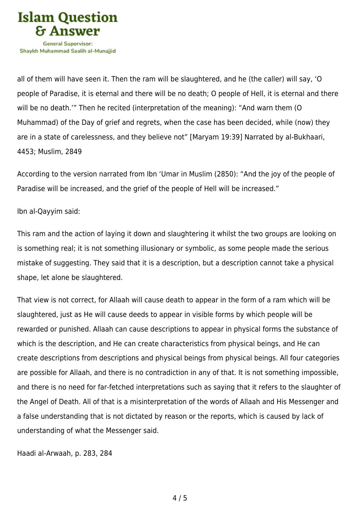

all of them will have seen it. Then the ram will be slaughtered, and he (the caller) will say, 'O people of Paradise, it is eternal and there will be no death; O people of Hell, it is eternal and there will be no death.'" Then he recited (interpretation of the meaning): "And warn them (O Muhammad) of the Day of grief and regrets, when the case has been decided, while (now) they are in a state of carelessness, and they believe not" [Maryam 19:39] Narrated by al-Bukhaari, 4453; Muslim, 2849

According to the version narrated from Ibn 'Umar in Muslim (2850): "And the joy of the people of Paradise will be increased, and the grief of the people of Hell will be increased."

## Ibn al-Qayyim said:

This ram and the action of laying it down and slaughtering it whilst the two groups are looking on is something real; it is not something illusionary or symbolic, as some people made the serious mistake of suggesting. They said that it is a description, but a description cannot take a physical shape, let alone be slaughtered.

That view is not correct, for Allaah will cause death to appear in the form of a ram which will be slaughtered, just as He will cause deeds to appear in visible forms by which people will be rewarded or punished. Allaah can cause descriptions to appear in physical forms the substance of which is the description, and He can create characteristics from physical beings, and He can create descriptions from descriptions and physical beings from physical beings. All four categories are possible for Allaah, and there is no contradiction in any of that. It is not something impossible, and there is no need for far-fetched interpretations such as saying that it refers to the slaughter of the Angel of Death. All of that is a misinterpretation of the words of Allaah and His Messenger and a false understanding that is not dictated by reason or the reports, which is caused by lack of understanding of what the Messenger said.

Haadi al-Arwaah, p. 283, 284